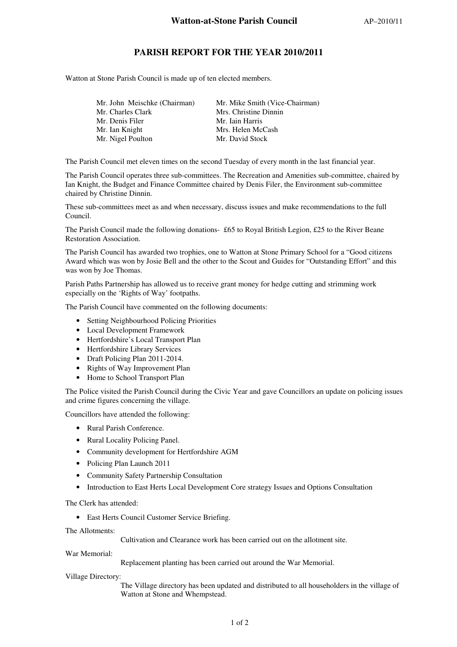## **PARISH REPORT FOR THE YEAR 2010/2011**

Watton at Stone Parish Council is made up of ten elected members.

| Mr. Mike Smith (Vice-Chairman) |
|--------------------------------|
| Mrs. Christine Dinnin          |
| Mr. Iain Harris                |
| Mrs. Helen McCash              |
| Mr. David Stock                |
|                                |

The Parish Council met eleven times on the second Tuesday of every month in the last financial year.

The Parish Council operates three sub-committees. The Recreation and Amenities sub-committee, chaired by Ian Knight, the Budget and Finance Committee chaired by Denis Filer, the Environment sub-committee chaired by Christine Dinnin.

These sub-committees meet as and when necessary, discuss issues and make recommendations to the full Council.

The Parish Council made the following donations- £65 to Royal British Legion, £25 to the River Beane Restoration Association.

The Parish Council has awarded two trophies, one to Watton at Stone Primary School for a "Good citizens Award which was won by Josie Bell and the other to the Scout and Guides for "Outstanding Effort" and this was won by Joe Thomas.

Parish Paths Partnership has allowed us to receive grant money for hedge cutting and strimming work especially on the 'Rights of Way' footpaths.

The Parish Council have commented on the following documents:

- Setting Neighbourhood Policing Priorities
- Local Development Framework
- Hertfordshire's Local Transport Plan
- Hertfordshire Library Services
- Draft Policing Plan 2011-2014.
- Rights of Way Improvement Plan
- Home to School Transport Plan

The Police visited the Parish Council during the Civic Year and gave Councillors an update on policing issues and crime figures concerning the village.

Councillors have attended the following:

- Rural Parish Conference.
- Rural Locality Policing Panel.
- Community development for Hertfordshire AGM
- Policing Plan Launch 2011
- Community Safety Partnership Consultation
- Introduction to East Herts Local Development Core strategy Issues and Options Consultation

The Clerk has attended:

• East Herts Council Customer Service Briefing.

The Allotments:

Cultivation and Clearance work has been carried out on the allotment site.

War Memorial:

Replacement planting has been carried out around the War Memorial.

Village Directory:

The Village directory has been updated and distributed to all householders in the village of Watton at Stone and Whempstead.